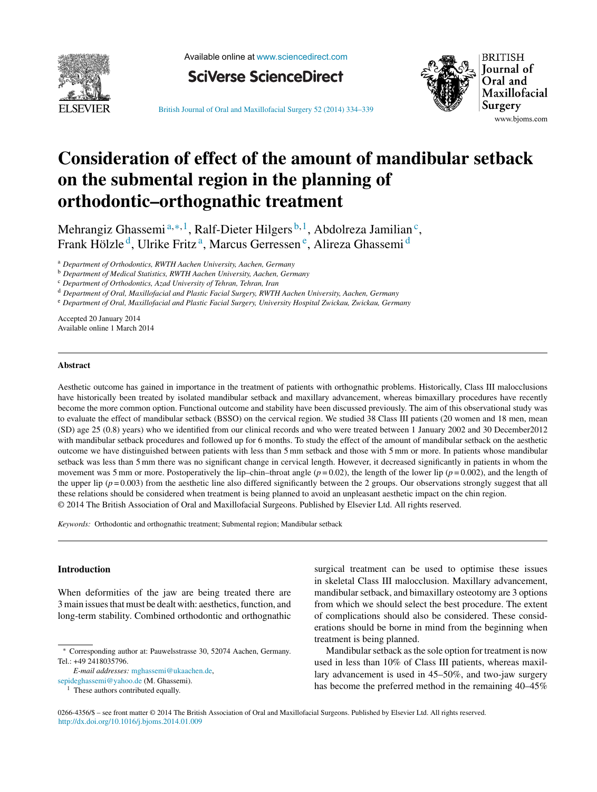

Available online at [www.sciencedirect.com](http://www.sciencedirect.com/science/journal/02664356)





British Journal of Oral and [Maxillofacial](dx.doi.org/10.1016/j.bjoms.2014.01.009) Surgery 52 (2014) 334–339

# **Consideration of effect of the amount of mandibular setback on the submental region in the planning of orthodontic–orthognathic treatment**

Mehrangiz Ghassemi<sup>a,\*,1</sup>, Ralf-Dieter Hilgers<sup>b,1</sup>, Abdolreza Jamilian<sup>c</sup>, Frank Hölzle<sup>d</sup>, Ulrike Fritz<sup>a</sup>, Marcus Gerressen<sup>e</sup>, Alireza Ghassemi<sup>d</sup>

<sup>a</sup> *Department of Orthodontics, RWTH Aachen University, Aachen, Germany*

<sup>b</sup> *Department of Medical Statistics, RWTH Aachen University, Aachen, Germany*

<sup>e</sup> *Department of Oral, Maxillofacial and Plastic Facial Surgery, University Hospital Zwickau, Zwickau, Germany*

Accepted 20 January 2014 Available online 1 March 2014

## **Abstract**

Aesthetic outcome has gained in importance in the treatment of patients with orthognathic problems. Historically, Class III malocclusions have historically been treated by isolated mandibular setback and maxillary advancement, whereas bimaxillary procedures have recently become the more common option. Functional outcome and stability have been discussed previously. The aim of this observational study was to evaluate the effect of mandibular setback (BSSO) on the cervical region. We studied 38 Class III patients (20 women and 18 men, mean (SD) age 25 (0.8) years) who we identified from our clinical records and who were treated between 1 January 2002 and 30 December2012 with mandibular setback procedures and followed up for 6 months. To study the effect of the amount of mandibular setback on the aesthetic outcome we have distinguished between patients with less than 5 mm setback and those with 5 mm or more. In patients whose mandibular setback was less than 5 mm there was no significant change in cervical length. However, it decreased significantly in patients in whom the movement was 5 mm or more. Postoperatively the lip–chin–throat angle  $(p=0.02)$ , the length of the lower lip  $(p=0.002)$ , and the length of the upper lip  $(p = 0.003)$  from the aesthetic line also differed significantly between the 2 groups. Our observations strongly suggest that all these relations should be considered when treatment is being planned to avoid an unpleasant aesthetic impact on the chin region. © 2014 The British Association of Oral and Maxillofacial Surgeons. Published by Elsevier Ltd. All rights reserved.

*Keywords:* Orthodontic and orthognathic treatment; Submental region; Mandibular setback

# **Introduction**

When deformities of the jaw are being treated there are 3 main issues that must be dealt with: aesthetics, function, and long-term stability. Combined orthodontic and orthognathic

*E-mail addresses:* [mghassemi@ukaachen.de,](mailto:mghassemi@ukaachen.de)

surgical treatment can be used to optimise these issues in skeletal Class III malocclusion. Maxillary advancement, mandibular setback, and bimaxillary osteotomy are 3 options from which we should select the best procedure. The extent of complications should also be considered. These considerations should be borne in mind from the beginning when treatment is being planned.

Mandibular setback as the sole option for treatment is now used in less than 10% of Class III patients, whereas maxillary advancement is used in 45–50%, and two-jaw surgery has become the preferred method in the remaining 40–45%

<sup>c</sup> *Department of Orthodontics, Azad University of Tehran, Tehran, Iran*

<sup>d</sup> *Department of Oral, Maxillofacial and Plastic Facial Surgery, RWTH Aachen University, Aachen, Germany*

<sup>∗</sup> Corresponding author at: Pauwelsstrasse 30, 52074 Aachen, Germany. Tel.: +49 2418035796.

[sepideghassemi@yahoo.de](mailto:sepideghassemi@yahoo.de) (M. Ghassemi).  $1$  These authors contributed equally.

<sup>0266-4356/\$</sup> – see front matter © 2014 The British Association of Oral and Maxillofacial Surgeons. Published by Elsevier Ltd. All rights reserved. [http://dx.doi.org/10.1016/j.bjoms.2014.01.009](dx.doi.org/10.1016/j.bjoms.2014.01.009)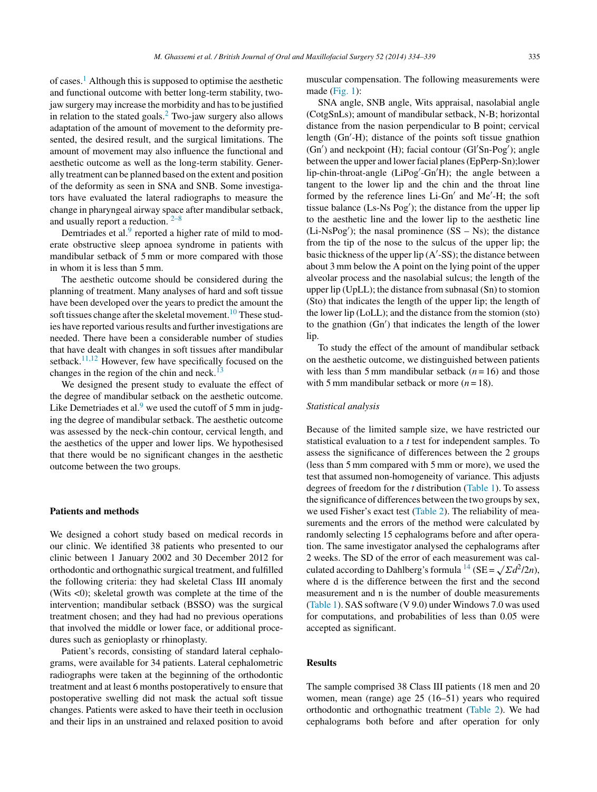of cases.[1](#page-4-0) Although this is supposed to optimise the aesthetic and functional outcome with better long-term stability, twojaw surgery may increase the morbidity and hasto be justified in relation to the stated goals.<sup>[2](#page-4-0)</sup> Two-jaw surgery also allows adaptation of the amount of movement to the deformity presented, the desired result, and the surgical limitations. The amount of movement may also influence the functional and aesthetic outcome as well as the long-term stability. Generally treatment can be planned based on the extent and position of the deformity as seen in SNA and SNB. Some investigators have evaluated the lateral radiographs to measure the change in pharyngeal airway space after mandibular setback, and usually report a reduction.  $2-8$ 

Demtriades et al.<sup>[9](#page-4-0)</sup> reported a higher rate of mild to moderate obstructive sleep apnoea syndrome in patients with mandibular setback of 5 mm or more compared with those in whom it is less than 5 mm.

The aesthetic outcome should be considered during the planning of treatment. Many analyses of hard and soft tissue have been developed over the years to predict the amount the soft tissues change after the skeletal movement.<sup>[10](#page-4-0)</sup> These studies have reported various results and further investigations are needed. There have been a considerable number of studies that have dealt with changes in soft tissues after mandibular setback.<sup>11,12</sup> However, few have specifically focused on the changes in the region of the chin and neck.<sup>[13](#page-5-0)</sup>

We designed the present study to evaluate the effect of the degree of mandibular setback on the aesthetic outcome. Like Demetriades et al. $9$  we used the cutoff of 5 mm in judging the degree of mandibular setback. The aesthetic outcome was assessed by the neck-chin contour, cervical length, and the aesthetics of the upper and lower lips. We hypothesised that there would be no significant changes in the aesthetic outcome between the two groups.

#### **Patients and methods**

We designed a cohort study based on medical records in our clinic. We identified 38 patients who presented to our clinic between 1 January 2002 and 30 December 2012 for orthodontic and orthognathic surgical treatment, and fulfilled the following criteria: they had skeletal Class III anomaly (Wits <0); skeletal growth was complete at the time of the intervention; mandibular setback (BSSO) was the surgical treatment chosen; and they had had no previous operations that involved the middle or lower face, or additional procedures such as genioplasty or rhinoplasty.

Patient's records, consisting of standard lateral cephalograms, were available for 34 patients. Lateral cephalometric radiographs were taken at the beginning of the orthodontic treatment and at least 6 months postoperatively to ensure that postoperative swelling did not mask the actual soft tissue changes. Patients were asked to have their teeth in occlusion and their lips in an unstrained and relaxed position to avoid

muscular compensation. The following measurements were made [\(Fig.](#page-2-0) 1):

SNA angle, SNB angle, Wits appraisal, nasolabial angle (CotgSnLs); amount of mandibular setback, N-B; horizontal distance from the nasion perpendicular to B point; cervical length (Gn -H); distance of the points soft tissue gnathion (Gn ) and neckpoint (H); facial contour (Gl Sn-Pog ); angle between the upper and lower facial planes(EpPerp-Sn);lower lip-chin-throat-angle (LiPog -Gn H); the angle between a tangent to the lower lip and the chin and the throat line formed by the reference lines Li-Gn' and Me'-H; the soft tissue balance (Ls-Ns Pog ); the distance from the upper lip to the aesthetic line and the lower lip to the aesthetic line (Li-NsPog ); the nasal prominence (SS – Ns); the distance from the tip of the nose to the sulcus of the upper lip; the basic thickness of the upper lip (A -SS); the distance between about 3 mm below the A point on the lying point of the upper alveolar process and the nasolabial sulcus; the length of the upper lip (UpLL); the distance from subnasal (Sn) to stomion (Sto) that indicates the length of the upper lip; the length of the lower lip (LoLL); and the distance from the stomion (sto) to the gnathion  $(Gn')$  that indicates the length of the lower lip.

To study the effect of the amount of mandibular setback on the aesthetic outcome, we distinguished between patients with less than 5 mm mandibular setback  $(n=16)$  and those with 5 mm mandibular setback or more  $(n = 18)$ .

#### *Statistical analysis*

Because of the limited sample size, we have restricted our statistical evaluation to a *t* test for independent samples. To assess the significance of differences between the 2 groups (less than 5 mm compared with 5 mm or more), we used the test that assumed non-homogeneity of variance. This adjusts degrees of freedom for the *t* distribution [\(Table](#page-3-0) 1). To assess the significance of differences between the two groups by sex, we used Fisher's exact test [\(Table](#page-3-0) 2). The reliability of measurements and the errors of the method were calculated by randomly selecting 15 cephalograms before and after operation. The same investigator analysed the cephalograms after 2 weeks. The SD of the error of each measurement was cal-culated according to Dahlberg's formula <sup>[14](#page-5-0)</sup> (SE =  $\sqrt{\Sigma d^2/2n}$ ), where d is the difference between the first and the second measurement and n is the number of double measurements ([Table](#page-3-0) 1). SAS software (V 9.0) under Windows 7.0 was used for computations, and probabilities of less than 0.05 were accepted as significant.

## **Results**

The sample comprised 38 Class III patients (18 men and 20 women, mean (range) age 25 (16–51) years who required orthodontic and orthognathic treatment ([Table](#page-3-0) 2). We had cephalograms both before and after operation for only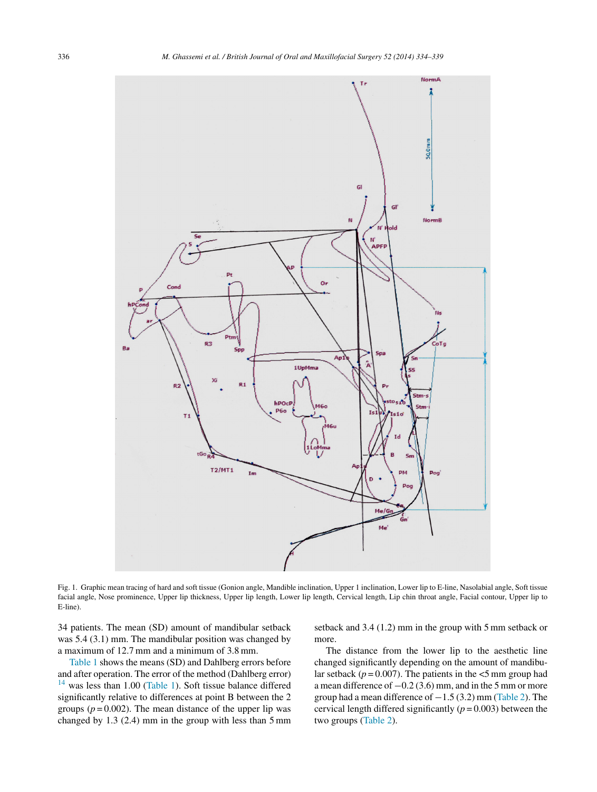<span id="page-2-0"></span>

Fig. 1. Graphic mean tracing of hard and soft tissue (Gonion angle, Mandible inclination, Upper 1 inclination, Lower lip to E-line, Nasolabial angle, Soft tissue facial angle, Nose prominence, Upper lip thickness, Upper lip length, Lower lip length, Cervical length, Lip chin throat angle, Facial contour, Upper lip to E-line).

34 patients. The mean (SD) amount of mandibular setback was 5.4 (3.1) mm. The mandibular position was changed by a maximum of 12.7 mm and a minimum of 3.8 mm.

[Table](#page-3-0) 1 shows the means (SD) and Dahlberg errors before and after operation. The error of the method (Dahlberg error) <sup>[14](#page-5-0)</sup> was less than 1.00 ([Table](#page-3-0) 1). Soft tissue balance differed significantly relative to differences at point B between the 2 groups  $(p=0.002)$ . The mean distance of the upper lip was changed by 1.3 (2.4) mm in the group with less than 5 mm setback and 3.4 (1.2) mm in the group with 5 mm setback or more.

The distance from the lower lip to the aesthetic line changed significantly depending on the amount of mandibular setback ( $p = 0.007$ ). The patients in the  $\leq 5$  mm group had a mean difference of  $-0.2$  (3.6) mm, and in the 5 mm or more group had a mean difference of  $-1.5$  (3.2) mm ([Table](#page-3-0) 2). The cervical length differed significantly  $(p = 0.003)$  between the two groups [\(Table](#page-3-0) 2).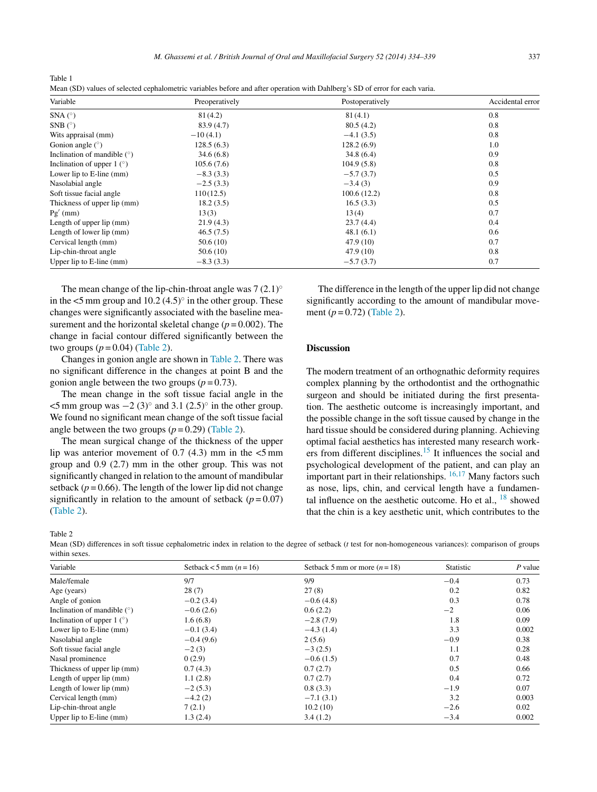<span id="page-3-0"></span>Table 1

| Variable                      | Preoperatively | Postoperatively | Accidental error |
|-------------------------------|----------------|-----------------|------------------|
| $SNA(^{\circ})$               | 81(4.2)        | 81(4.1)         | 0.8              |
| SNB $(^{\circ})$              | 83.9(4.7)      | 80.5(4.2)       | 0.8              |
| Wits appraisal (mm)           | $-10(4.1)$     | $-4.1(3.5)$     | 0.8              |
| Gonion angle $(°)$            | 128.5(6.3)     | 128.2(6.9)      | 1.0              |
| Inclination of mandible $(°)$ | 34.6(6.8)      | 34.8(6.4)       | 0.9              |
| Inclination of upper 1 $(°)$  | 105.6(7.6)     | 104.9(5.8)      | 0.8              |
| Lower lip to E-line (mm)      | $-8.3(3.3)$    | $-5.7(3.7)$     | 0.5              |
| Nasolabial angle              | $-2.5(3.3)$    | $-3.4(3)$       | 0.9              |
| Soft tissue facial angle      | 110(12.5)      | 100.6(12.2)     | 0.8              |
| Thickness of upper lip (mm)   | 18.2(3.5)      | 16.5(3.3)       | 0.5              |
| Pg'(mm)                       | 13(3)          | 13(4)           | 0.7              |
| Length of upper lip (mm)      | 21.9(4.3)      | 23.7(4.4)       | 0.4              |
| Length of lower lip (mm)      | 46.5(7.5)      | 48.1(6.1)       | 0.6              |
| Cervical length (mm)          | 50.6(10)       | 47.9(10)        | 0.7              |
| Lip-chin-throat angle         | 50.6(10)       | 47.9(10)        | 0.8              |
| Upper lip to E-line (mm)      | $-8.3(3.3)$    | $-5.7(3.7)$     | 0.7              |

The mean change of the lip-chin-throat angle was  $7(2.1)°$ in the  $\leq$ 5 mm group and 10.2 (4.5) $\degree$  in the other group. These changes were significantly associated with the baseline measurement and the horizontal skeletal change  $(p = 0.002)$ . The change in facial contour differed significantly between the two groups  $(p=0.04)$  (Table 2).

Changes in gonion angle are shown in Table 2. There was no significant difference in the changes at point B and the gonion angle between the two groups  $(p=0.73)$ .

The mean change in the soft tissue facial angle in the  $\leq$ 5 mm group was  $-2(3)^\circ$  and 3.1  $(2.5)^\circ$  in the other group. We found no significant mean change of the soft tissue facial angle between the two groups  $(p = 0.29)$  (Table 2).

The mean surgical change of the thickness of the upper lip was anterior movement of 0.7 (4.3) mm in the  $\leq 5$  mm group and 0.9 (2.7) mm in the other group. This was not significantly changed in relation to the amount of mandibular setback ( $p = 0.66$ ). The length of the lower lip did not change significantly in relation to the amount of setback  $(p=0.07)$ (Table 2).

Table 2

Mean (SD) differences in soft tissue cephalometric index in relation to the degree of setback (*t* test for non-homogeneous variances): comparison of groups within sexes.

| Variable                               | Setback < 5 mm $(n = 16)$ | Setback 5 mm or more $(n=18)$ | <b>Statistic</b> | $P$ value |
|----------------------------------------|---------------------------|-------------------------------|------------------|-----------|
| Male/female                            | 9/7                       | 9/9                           | $-0.4$           | 0.73      |
| Age (years)                            | 28(7)                     | 27(8)                         | 0.2              | 0.82      |
| Angle of gonion                        | $-0.2(3.4)$               | $-0.6(4.8)$                   | 0.3              | 0.78      |
| Inclination of mandible (°)            | $-0.6(2.6)$               | 0.6(2.2)                      | $-2$             | 0.06      |
| Inclination of upper $1$ ( $\degree$ ) | 1.6(6.8)                  | $-2.8(7.9)$                   | 1.8              | 0.09      |
| Lower lip to E-line (mm)               | $-0.1(3.4)$               | $-4.3(1.4)$                   | 3.3              | 0.002     |
| Nasolabial angle                       | $-0.4(9.6)$               | 2(5.6)                        | $-0.9$           | 0.38      |
| Soft tissue facial angle               | $-2(3)$                   | $-3(2.5)$                     | 1.1              | 0.28      |
| Nasal prominence                       | 0(2.9)                    | $-0.6(1.5)$                   | 0.7              | 0.48      |
| Thickness of upper lip (mm)            | 0.7(4.3)                  | 0.7(2.7)                      | 0.5              | 0.66      |
| Length of upper lip (mm)               | 1.1(2.8)                  | 0.7(2.7)                      | 0.4              | 0.72      |
| Length of lower lip (mm)               | $-2(5.3)$                 | 0.8(3.3)                      | $-1.9$           | 0.07      |
| Cervical length (mm)                   | $-4.2(2)$                 | $-7.1(3.1)$                   | 3.2              | 0.003     |
| Lip-chin-throat angle                  | 7(2.1)                    | 10.2(10)                      | $-2.6$           | 0.02      |
| Upper lip to E-line (mm)               | 1.3(2.4)                  | 3.4(1.2)                      | $-3.4$           | 0.002     |

The difference in the length of the upper lip did not change significantly according to the amount of mandibular movement  $(p = 0.72)$  (Table 2).

# **Discussion**

The modern treatment of an orthognathic deformity requires complex planning by the orthodontist and the orthognathic surgeon and should be initiated during the first presentation. The aesthetic outcome is increasingly important, and the possible change in the soft tissue caused by change in the hard tissue should be considered during planning. Achieving optimal facial aesthetics has interested many research work-ers from different disciplines.<sup>[15](#page-5-0)</sup> It influences the social and psychological development of the patient, and can play an important part in their relationships. <sup>[16,17](#page-5-0)</sup> Many factors such as nose, lips, chin, and cervical length have a fundamental influence on the aesthetic outcome. Ho et al.,  $^{18}$  $^{18}$  $^{18}$  showed that the chin is a key aesthetic unit, which contributes to the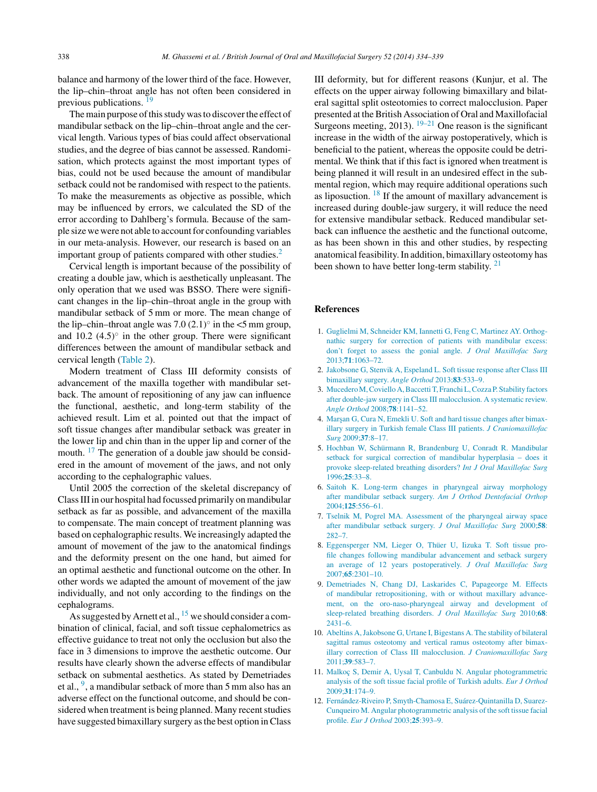<span id="page-4-0"></span>balance and harmony of the lower third of the face. However, the lip–chin–throat angle has not often been considered in previous publications. [19](#page-5-0)

The main purpose of this study was to discover the effect of mandibular setback on the lip–chin–throat angle and the cervical length. Various types of bias could affect observational studies, and the degree of bias cannot be assessed. Randomisation, which protects against the most important types of bias, could not be used because the amount of mandibular setback could not be randomised with respect to the patients. To make the measurements as objective as possible, which may be influenced by errors, we calculated the SD of the error according to Dahlberg's formula. Because of the sample size we were not able to account for confounding variables in our meta-analysis. However, our research is based on an important group of patients compared with other studies.<sup>2</sup>

Cervical length is important because of the possibility of creating a double jaw, which is aesthetically unpleasant. The only operation that we used was BSSO. There were significant changes in the lip–chin–throat angle in the group with mandibular setback of 5 mm or more. The mean change of the lip–chin–throat angle was  $7.0$  (2.1) $\degree$  in the <5 mm group, and 10.2  $(4.5)^\circ$  in the other group. There were significant differences between the amount of mandibular setback and cervical length [\(Table](#page-3-0) 2).

Modern treatment of Class III deformity consists of advancement of the maxilla together with mandibular setback. The amount of repositioning of any jaw can influence the functional, aesthetic, and long-term stability of the achieved result. Lim et al. pointed out that the impact of soft tissue changes after mandibular setback was greater in the lower lip and chin than in the upper lip and corner of the mouth.  $17$  The generation of a double jaw should be considered in the amount of movement of the jaws, and not only according to the cephalographic values.

Until 2005 the correction of the skeletal discrepancy of Class III in our hospital had focussed primarily on mandibular setback as far as possible, and advancement of the maxilla to compensate. The main concept of treatment planning was based on cephalographic results. We increasingly adapted the amount of movement of the jaw to the anatomical findings and the deformity present on the one hand, but aimed for an optimal aesthetic and functional outcome on the other. In other words we adapted the amount of movement of the jaw individually, and not only according to the findings on the cephalograms.

As suggested by Arnett et al., <sup>[15](#page-5-0)</sup> we should consider a combination of clinical, facial, and soft tissue cephalometrics as effective guidance to treat not only the occlusion but also the face in 3 dimensions to improve the aesthetic outcome. Our results have clearly shown the adverse effects of mandibular setback on submental aesthetics. As stated by Demetriades et al.,  $\frac{9}{2}$ , a mandibular setback of more than 5 mm also has an adverse effect on the functional outcome, and should be considered when treatment is being planned. Many recent studies have suggested bimaxillary surgery asthe best option inClass

III deformity, but for different reasons (Kunjur, et al. The effects on the upper airway following bimaxillary and bilateral sagittal split osteotomies to correct malocclusion. Paper presented at the British Association of Oral and Maxillofacial Surgeons meeting, 2013).  $19-21$  One reason is the significant increase in the width of the airway postoperatively, which is beneficial to the patient, whereas the opposite could be detrimental. We think that if this fact is ignored when treatment is being planned it will result in an undesired effect in the submental region, which may require additional operations such as liposuction.  $18$  If the amount of maxillary advancement is increased during double-jaw surgery, it will reduce the need for extensive mandibular setback. Reduced mandibular setback can influence the aesthetic and the functional outcome, as has been shown in this and other studies, by respecting anatomical feasibility. In addition, bimaxillary osteotomy has been shown to have better long-term stability.  $21$ 

# **References**

- 1. [Guglielmi](http://refhub.elsevier.com/S0266-4356(14)00026-6/sbref0005) [M,](http://refhub.elsevier.com/S0266-4356(14)00026-6/sbref0005) [Schneider](http://refhub.elsevier.com/S0266-4356(14)00026-6/sbref0005) [KM,](http://refhub.elsevier.com/S0266-4356(14)00026-6/sbref0005) [Iannetti](http://refhub.elsevier.com/S0266-4356(14)00026-6/sbref0005) [G,](http://refhub.elsevier.com/S0266-4356(14)00026-6/sbref0005) [Feng](http://refhub.elsevier.com/S0266-4356(14)00026-6/sbref0005) [C,](http://refhub.elsevier.com/S0266-4356(14)00026-6/sbref0005) [Martinez](http://refhub.elsevier.com/S0266-4356(14)00026-6/sbref0005) [AY.](http://refhub.elsevier.com/S0266-4356(14)00026-6/sbref0005) [Orthog](http://refhub.elsevier.com/S0266-4356(14)00026-6/sbref0005)[nathic](http://refhub.elsevier.com/S0266-4356(14)00026-6/sbref0005) [surgery](http://refhub.elsevier.com/S0266-4356(14)00026-6/sbref0005) [for](http://refhub.elsevier.com/S0266-4356(14)00026-6/sbref0005) [correction](http://refhub.elsevier.com/S0266-4356(14)00026-6/sbref0005) [of](http://refhub.elsevier.com/S0266-4356(14)00026-6/sbref0005) [patients](http://refhub.elsevier.com/S0266-4356(14)00026-6/sbref0005) [with](http://refhub.elsevier.com/S0266-4356(14)00026-6/sbref0005) [mandibular](http://refhub.elsevier.com/S0266-4356(14)00026-6/sbref0005) [excess:](http://refhub.elsevier.com/S0266-4356(14)00026-6/sbref0005) [don't](http://refhub.elsevier.com/S0266-4356(14)00026-6/sbref0005) [forget](http://refhub.elsevier.com/S0266-4356(14)00026-6/sbref0005) [to](http://refhub.elsevier.com/S0266-4356(14)00026-6/sbref0005) [assess](http://refhub.elsevier.com/S0266-4356(14)00026-6/sbref0005) [the](http://refhub.elsevier.com/S0266-4356(14)00026-6/sbref0005) [gonial](http://refhub.elsevier.com/S0266-4356(14)00026-6/sbref0005) [angle.](http://refhub.elsevier.com/S0266-4356(14)00026-6/sbref0005) *[J](http://refhub.elsevier.com/S0266-4356(14)00026-6/sbref0005) [Oral](http://refhub.elsevier.com/S0266-4356(14)00026-6/sbref0005) [Maxillofac](http://refhub.elsevier.com/S0266-4356(14)00026-6/sbref0005) [Surg](http://refhub.elsevier.com/S0266-4356(14)00026-6/sbref0005)* [2013;](http://refhub.elsevier.com/S0266-4356(14)00026-6/sbref0005)**[71](http://refhub.elsevier.com/S0266-4356(14)00026-6/sbref0005)**[:1063–72.](http://refhub.elsevier.com/S0266-4356(14)00026-6/sbref0005)
- 2. [Jakobsone](http://refhub.elsevier.com/S0266-4356(14)00026-6/sbref0010) [G,](http://refhub.elsevier.com/S0266-4356(14)00026-6/sbref0010) [Stenvik](http://refhub.elsevier.com/S0266-4356(14)00026-6/sbref0010) [A,](http://refhub.elsevier.com/S0266-4356(14)00026-6/sbref0010) [Espeland](http://refhub.elsevier.com/S0266-4356(14)00026-6/sbref0010) [L.](http://refhub.elsevier.com/S0266-4356(14)00026-6/sbref0010) [Soft](http://refhub.elsevier.com/S0266-4356(14)00026-6/sbref0010) [tissue](http://refhub.elsevier.com/S0266-4356(14)00026-6/sbref0010) [response](http://refhub.elsevier.com/S0266-4356(14)00026-6/sbref0010) [after](http://refhub.elsevier.com/S0266-4356(14)00026-6/sbref0010) [Class](http://refhub.elsevier.com/S0266-4356(14)00026-6/sbref0010) [III](http://refhub.elsevier.com/S0266-4356(14)00026-6/sbref0010) [bimaxillary](http://refhub.elsevier.com/S0266-4356(14)00026-6/sbref0010) [surgery.](http://refhub.elsevier.com/S0266-4356(14)00026-6/sbref0010) *[Angle](http://refhub.elsevier.com/S0266-4356(14)00026-6/sbref0010) [Orthod](http://refhub.elsevier.com/S0266-4356(14)00026-6/sbref0010)* [2013;](http://refhub.elsevier.com/S0266-4356(14)00026-6/sbref0010)**[83](http://refhub.elsevier.com/S0266-4356(14)00026-6/sbref0010)**[:533–9.](http://refhub.elsevier.com/S0266-4356(14)00026-6/sbref0010)
- 3. Mucedero M, Coviello A, Baccetti T, Franchi L, Cozza [P.](http://refhub.elsevier.com/S0266-4356(14)00026-6/sbref0015) [Stability](http://refhub.elsevier.com/S0266-4356(14)00026-6/sbref0015) [factors](http://refhub.elsevier.com/S0266-4356(14)00026-6/sbref0015) [after](http://refhub.elsevier.com/S0266-4356(14)00026-6/sbref0015) [double-jaw](http://refhub.elsevier.com/S0266-4356(14)00026-6/sbref0015) [surgery](http://refhub.elsevier.com/S0266-4356(14)00026-6/sbref0015) [in](http://refhub.elsevier.com/S0266-4356(14)00026-6/sbref0015) [Class](http://refhub.elsevier.com/S0266-4356(14)00026-6/sbref0015) [III](http://refhub.elsevier.com/S0266-4356(14)00026-6/sbref0015) [malocclusion.](http://refhub.elsevier.com/S0266-4356(14)00026-6/sbref0015) [A](http://refhub.elsevier.com/S0266-4356(14)00026-6/sbref0015) [systematic](http://refhub.elsevier.com/S0266-4356(14)00026-6/sbref0015) [review.](http://refhub.elsevier.com/S0266-4356(14)00026-6/sbref0015) *[Angle](http://refhub.elsevier.com/S0266-4356(14)00026-6/sbref0015) [Orthod](http://refhub.elsevier.com/S0266-4356(14)00026-6/sbref0015)* [2008;](http://refhub.elsevier.com/S0266-4356(14)00026-6/sbref0015)**[78](http://refhub.elsevier.com/S0266-4356(14)00026-6/sbref0015)**[:1141–52.](http://refhub.elsevier.com/S0266-4356(14)00026-6/sbref0015)
- 4. Marsan [G,](http://refhub.elsevier.com/S0266-4356(14)00026-6/sbref0020) [Cura](http://refhub.elsevier.com/S0266-4356(14)00026-6/sbref0020) [N,](http://refhub.elsevier.com/S0266-4356(14)00026-6/sbref0020) [Emekli](http://refhub.elsevier.com/S0266-4356(14)00026-6/sbref0020) [U.](http://refhub.elsevier.com/S0266-4356(14)00026-6/sbref0020) [Soft](http://refhub.elsevier.com/S0266-4356(14)00026-6/sbref0020) [and](http://refhub.elsevier.com/S0266-4356(14)00026-6/sbref0020) [hard](http://refhub.elsevier.com/S0266-4356(14)00026-6/sbref0020) [tissue](http://refhub.elsevier.com/S0266-4356(14)00026-6/sbref0020) [changes](http://refhub.elsevier.com/S0266-4356(14)00026-6/sbref0020) [after](http://refhub.elsevier.com/S0266-4356(14)00026-6/sbref0020) [bimax](http://refhub.elsevier.com/S0266-4356(14)00026-6/sbref0020)[illary](http://refhub.elsevier.com/S0266-4356(14)00026-6/sbref0020) [surgery](http://refhub.elsevier.com/S0266-4356(14)00026-6/sbref0020) [in](http://refhub.elsevier.com/S0266-4356(14)00026-6/sbref0020) [Turkish](http://refhub.elsevier.com/S0266-4356(14)00026-6/sbref0020) [female](http://refhub.elsevier.com/S0266-4356(14)00026-6/sbref0020) [Class](http://refhub.elsevier.com/S0266-4356(14)00026-6/sbref0020) [III](http://refhub.elsevier.com/S0266-4356(14)00026-6/sbref0020) [patients.](http://refhub.elsevier.com/S0266-4356(14)00026-6/sbref0020) *[J](http://refhub.elsevier.com/S0266-4356(14)00026-6/sbref0020) [Craniomaxillofac](http://refhub.elsevier.com/S0266-4356(14)00026-6/sbref0020) [Surg](http://refhub.elsevier.com/S0266-4356(14)00026-6/sbref0020)* [2009;](http://refhub.elsevier.com/S0266-4356(14)00026-6/sbref0020)**[37](http://refhub.elsevier.com/S0266-4356(14)00026-6/sbref0020)**[:8](http://refhub.elsevier.com/S0266-4356(14)00026-6/sbref0020)–[17.](http://refhub.elsevier.com/S0266-4356(14)00026-6/sbref0020)
- 5. [Hochban](http://refhub.elsevier.com/S0266-4356(14)00026-6/sbref0025) [W,](http://refhub.elsevier.com/S0266-4356(14)00026-6/sbref0025) [Schürmann](http://refhub.elsevier.com/S0266-4356(14)00026-6/sbref0025) [R,](http://refhub.elsevier.com/S0266-4356(14)00026-6/sbref0025) [Brandenburg](http://refhub.elsevier.com/S0266-4356(14)00026-6/sbref0025) [U,](http://refhub.elsevier.com/S0266-4356(14)00026-6/sbref0025) [Conradt](http://refhub.elsevier.com/S0266-4356(14)00026-6/sbref0025) [R.](http://refhub.elsevier.com/S0266-4356(14)00026-6/sbref0025) [Mandibular](http://refhub.elsevier.com/S0266-4356(14)00026-6/sbref0025) [setback](http://refhub.elsevier.com/S0266-4356(14)00026-6/sbref0025) [for](http://refhub.elsevier.com/S0266-4356(14)00026-6/sbref0025) [surgical](http://refhub.elsevier.com/S0266-4356(14)00026-6/sbref0025) [correction](http://refhub.elsevier.com/S0266-4356(14)00026-6/sbref0025) [of](http://refhub.elsevier.com/S0266-4356(14)00026-6/sbref0025) [mandibular](http://refhub.elsevier.com/S0266-4356(14)00026-6/sbref0025) [hyperplasia](http://refhub.elsevier.com/S0266-4356(14)00026-6/sbref0025) – [does](http://refhub.elsevier.com/S0266-4356(14)00026-6/sbref0025) [it](http://refhub.elsevier.com/S0266-4356(14)00026-6/sbref0025) [provoke](http://refhub.elsevier.com/S0266-4356(14)00026-6/sbref0025) [sleep-related](http://refhub.elsevier.com/S0266-4356(14)00026-6/sbref0025) [breathing](http://refhub.elsevier.com/S0266-4356(14)00026-6/sbref0025) [disorders?](http://refhub.elsevier.com/S0266-4356(14)00026-6/sbref0025) *[Int](http://refhub.elsevier.com/S0266-4356(14)00026-6/sbref0025) [J](http://refhub.elsevier.com/S0266-4356(14)00026-6/sbref0025) [Oral](http://refhub.elsevier.com/S0266-4356(14)00026-6/sbref0025) [Maxillofac](http://refhub.elsevier.com/S0266-4356(14)00026-6/sbref0025) [Surg](http://refhub.elsevier.com/S0266-4356(14)00026-6/sbref0025)* [1996;](http://refhub.elsevier.com/S0266-4356(14)00026-6/sbref0025)**[25](http://refhub.elsevier.com/S0266-4356(14)00026-6/sbref0025)**[:33](http://refhub.elsevier.com/S0266-4356(14)00026-6/sbref0025)–[8.](http://refhub.elsevier.com/S0266-4356(14)00026-6/sbref0025)
- 6. [Saitoh](http://refhub.elsevier.com/S0266-4356(14)00026-6/sbref0030) [K.](http://refhub.elsevier.com/S0266-4356(14)00026-6/sbref0030) [Long-term](http://refhub.elsevier.com/S0266-4356(14)00026-6/sbref0030) [changes](http://refhub.elsevier.com/S0266-4356(14)00026-6/sbref0030) [in](http://refhub.elsevier.com/S0266-4356(14)00026-6/sbref0030) [pharyngeal](http://refhub.elsevier.com/S0266-4356(14)00026-6/sbref0030) [airway](http://refhub.elsevier.com/S0266-4356(14)00026-6/sbref0030) [morphology](http://refhub.elsevier.com/S0266-4356(14)00026-6/sbref0030) [after](http://refhub.elsevier.com/S0266-4356(14)00026-6/sbref0030) [mandibular](http://refhub.elsevier.com/S0266-4356(14)00026-6/sbref0030) [setback](http://refhub.elsevier.com/S0266-4356(14)00026-6/sbref0030) [surgery.](http://refhub.elsevier.com/S0266-4356(14)00026-6/sbref0030) *[Am](http://refhub.elsevier.com/S0266-4356(14)00026-6/sbref0030) [J](http://refhub.elsevier.com/S0266-4356(14)00026-6/sbref0030) [Orthod](http://refhub.elsevier.com/S0266-4356(14)00026-6/sbref0030) [Dentofacial](http://refhub.elsevier.com/S0266-4356(14)00026-6/sbref0030) [Orthop](http://refhub.elsevier.com/S0266-4356(14)00026-6/sbref0030)* [2004;](http://refhub.elsevier.com/S0266-4356(14)00026-6/sbref0030)**[125](http://refhub.elsevier.com/S0266-4356(14)00026-6/sbref0030)**[:556](http://refhub.elsevier.com/S0266-4356(14)00026-6/sbref0030)–[61.](http://refhub.elsevier.com/S0266-4356(14)00026-6/sbref0030)
- 7. [Tselnik](http://refhub.elsevier.com/S0266-4356(14)00026-6/sbref0035) [M,](http://refhub.elsevier.com/S0266-4356(14)00026-6/sbref0035) [Pogrel](http://refhub.elsevier.com/S0266-4356(14)00026-6/sbref0035) [MA.](http://refhub.elsevier.com/S0266-4356(14)00026-6/sbref0035) [Assessment](http://refhub.elsevier.com/S0266-4356(14)00026-6/sbref0035) [of](http://refhub.elsevier.com/S0266-4356(14)00026-6/sbref0035) [the](http://refhub.elsevier.com/S0266-4356(14)00026-6/sbref0035) [pharyngeal](http://refhub.elsevier.com/S0266-4356(14)00026-6/sbref0035) [airway](http://refhub.elsevier.com/S0266-4356(14)00026-6/sbref0035) [space](http://refhub.elsevier.com/S0266-4356(14)00026-6/sbref0035) [after](http://refhub.elsevier.com/S0266-4356(14)00026-6/sbref0035) [mandibular](http://refhub.elsevier.com/S0266-4356(14)00026-6/sbref0035) [setback](http://refhub.elsevier.com/S0266-4356(14)00026-6/sbref0035) [surgery.](http://refhub.elsevier.com/S0266-4356(14)00026-6/sbref0035) *[J](http://refhub.elsevier.com/S0266-4356(14)00026-6/sbref0035) [Oral](http://refhub.elsevier.com/S0266-4356(14)00026-6/sbref0035) [Maxillofac](http://refhub.elsevier.com/S0266-4356(14)00026-6/sbref0035) [Surg](http://refhub.elsevier.com/S0266-4356(14)00026-6/sbref0035)* [2000;](http://refhub.elsevier.com/S0266-4356(14)00026-6/sbref0035)**[58](http://refhub.elsevier.com/S0266-4356(14)00026-6/sbref0035)**[:](http://refhub.elsevier.com/S0266-4356(14)00026-6/sbref0035) [282–7.](http://refhub.elsevier.com/S0266-4356(14)00026-6/sbref0035)
- 8. [Eggensperger](http://refhub.elsevier.com/S0266-4356(14)00026-6/sbref0040) [NM,](http://refhub.elsevier.com/S0266-4356(14)00026-6/sbref0040) [Lieger](http://refhub.elsevier.com/S0266-4356(14)00026-6/sbref0040) [O,](http://refhub.elsevier.com/S0266-4356(14)00026-6/sbref0040) [Thüer](http://refhub.elsevier.com/S0266-4356(14)00026-6/sbref0040) [U,](http://refhub.elsevier.com/S0266-4356(14)00026-6/sbref0040) [Iizuka](http://refhub.elsevier.com/S0266-4356(14)00026-6/sbref0040) [T.](http://refhub.elsevier.com/S0266-4356(14)00026-6/sbref0040) [Soft](http://refhub.elsevier.com/S0266-4356(14)00026-6/sbref0040) [tissue](http://refhub.elsevier.com/S0266-4356(14)00026-6/sbref0040) [pro](http://refhub.elsevier.com/S0266-4356(14)00026-6/sbref0040)[file](http://refhub.elsevier.com/S0266-4356(14)00026-6/sbref0040) [changes](http://refhub.elsevier.com/S0266-4356(14)00026-6/sbref0040) [following](http://refhub.elsevier.com/S0266-4356(14)00026-6/sbref0040) [mandibular](http://refhub.elsevier.com/S0266-4356(14)00026-6/sbref0040) [advancement](http://refhub.elsevier.com/S0266-4356(14)00026-6/sbref0040) [and](http://refhub.elsevier.com/S0266-4356(14)00026-6/sbref0040) [setback](http://refhub.elsevier.com/S0266-4356(14)00026-6/sbref0040) [surgery](http://refhub.elsevier.com/S0266-4356(14)00026-6/sbref0040) [an](http://refhub.elsevier.com/S0266-4356(14)00026-6/sbref0040) [average](http://refhub.elsevier.com/S0266-4356(14)00026-6/sbref0040) [of](http://refhub.elsevier.com/S0266-4356(14)00026-6/sbref0040) [12](http://refhub.elsevier.com/S0266-4356(14)00026-6/sbref0040) [years](http://refhub.elsevier.com/S0266-4356(14)00026-6/sbref0040) [postoperatively](http://refhub.elsevier.com/S0266-4356(14)00026-6/sbref0040). *[J](http://refhub.elsevier.com/S0266-4356(14)00026-6/sbref0040) [Oral](http://refhub.elsevier.com/S0266-4356(14)00026-6/sbref0040) [Maxillofac](http://refhub.elsevier.com/S0266-4356(14)00026-6/sbref0040) [Surg](http://refhub.elsevier.com/S0266-4356(14)00026-6/sbref0040)* [2007;](http://refhub.elsevier.com/S0266-4356(14)00026-6/sbref0040)**[65](http://refhub.elsevier.com/S0266-4356(14)00026-6/sbref0040)**[:2301–10.](http://refhub.elsevier.com/S0266-4356(14)00026-6/sbref0040)
- 9. [Demetriades](http://refhub.elsevier.com/S0266-4356(14)00026-6/sbref0045) [N,](http://refhub.elsevier.com/S0266-4356(14)00026-6/sbref0045) [Chang](http://refhub.elsevier.com/S0266-4356(14)00026-6/sbref0045) [DJ,](http://refhub.elsevier.com/S0266-4356(14)00026-6/sbref0045) [Laskarides](http://refhub.elsevier.com/S0266-4356(14)00026-6/sbref0045) [C,](http://refhub.elsevier.com/S0266-4356(14)00026-6/sbref0045) [Papageorge](http://refhub.elsevier.com/S0266-4356(14)00026-6/sbref0045) [M.](http://refhub.elsevier.com/S0266-4356(14)00026-6/sbref0045) [Effects](http://refhub.elsevier.com/S0266-4356(14)00026-6/sbref0045) [of](http://refhub.elsevier.com/S0266-4356(14)00026-6/sbref0045) [mandibular](http://refhub.elsevier.com/S0266-4356(14)00026-6/sbref0045) [retropositioning,](http://refhub.elsevier.com/S0266-4356(14)00026-6/sbref0045) [with](http://refhub.elsevier.com/S0266-4356(14)00026-6/sbref0045) [or](http://refhub.elsevier.com/S0266-4356(14)00026-6/sbref0045) [without](http://refhub.elsevier.com/S0266-4356(14)00026-6/sbref0045) [maxillary](http://refhub.elsevier.com/S0266-4356(14)00026-6/sbref0045) [advance](http://refhub.elsevier.com/S0266-4356(14)00026-6/sbref0045)[ment,](http://refhub.elsevier.com/S0266-4356(14)00026-6/sbref0045) [on](http://refhub.elsevier.com/S0266-4356(14)00026-6/sbref0045) [the](http://refhub.elsevier.com/S0266-4356(14)00026-6/sbref0045) [oro-naso-pharyngeal](http://refhub.elsevier.com/S0266-4356(14)00026-6/sbref0045) [airway](http://refhub.elsevier.com/S0266-4356(14)00026-6/sbref0045) [and](http://refhub.elsevier.com/S0266-4356(14)00026-6/sbref0045) [development](http://refhub.elsevier.com/S0266-4356(14)00026-6/sbref0045) [of](http://refhub.elsevier.com/S0266-4356(14)00026-6/sbref0045) [sleep-related](http://refhub.elsevier.com/S0266-4356(14)00026-6/sbref0045) [breathing](http://refhub.elsevier.com/S0266-4356(14)00026-6/sbref0045) [disorders.](http://refhub.elsevier.com/S0266-4356(14)00026-6/sbref0045) *[J](http://refhub.elsevier.com/S0266-4356(14)00026-6/sbref0045) [Oral](http://refhub.elsevier.com/S0266-4356(14)00026-6/sbref0045) [Maxillofac](http://refhub.elsevier.com/S0266-4356(14)00026-6/sbref0045) [Surg](http://refhub.elsevier.com/S0266-4356(14)00026-6/sbref0045)* [2010;](http://refhub.elsevier.com/S0266-4356(14)00026-6/sbref0045)**[68](http://refhub.elsevier.com/S0266-4356(14)00026-6/sbref0045)**[:](http://refhub.elsevier.com/S0266-4356(14)00026-6/sbref0045) [2431–6.](http://refhub.elsevier.com/S0266-4356(14)00026-6/sbref0045)
- 10. [Abeltins](http://refhub.elsevier.com/S0266-4356(14)00026-6/sbref0050) [A,Jakobsone](http://refhub.elsevier.com/S0266-4356(14)00026-6/sbref0050) [G,](http://refhub.elsevier.com/S0266-4356(14)00026-6/sbref0050) [Urtane](http://refhub.elsevier.com/S0266-4356(14)00026-6/sbref0050) [I,](http://refhub.elsevier.com/S0266-4356(14)00026-6/sbref0050) [Bigestans](http://refhub.elsevier.com/S0266-4356(14)00026-6/sbref0050) [A.](http://refhub.elsevier.com/S0266-4356(14)00026-6/sbref0050) [The](http://refhub.elsevier.com/S0266-4356(14)00026-6/sbref0050) [stability](http://refhub.elsevier.com/S0266-4356(14)00026-6/sbref0050) [of](http://refhub.elsevier.com/S0266-4356(14)00026-6/sbref0050) [bilateral](http://refhub.elsevier.com/S0266-4356(14)00026-6/sbref0050) [sagittal](http://refhub.elsevier.com/S0266-4356(14)00026-6/sbref0050) [ramus](http://refhub.elsevier.com/S0266-4356(14)00026-6/sbref0050) [osteotomy](http://refhub.elsevier.com/S0266-4356(14)00026-6/sbref0050) [and](http://refhub.elsevier.com/S0266-4356(14)00026-6/sbref0050) [vertical](http://refhub.elsevier.com/S0266-4356(14)00026-6/sbref0050) [ramus](http://refhub.elsevier.com/S0266-4356(14)00026-6/sbref0050) [osteotomy](http://refhub.elsevier.com/S0266-4356(14)00026-6/sbref0050) [after](http://refhub.elsevier.com/S0266-4356(14)00026-6/sbref0050) [bimax](http://refhub.elsevier.com/S0266-4356(14)00026-6/sbref0050)[illary](http://refhub.elsevier.com/S0266-4356(14)00026-6/sbref0050) [correction](http://refhub.elsevier.com/S0266-4356(14)00026-6/sbref0050) [of](http://refhub.elsevier.com/S0266-4356(14)00026-6/sbref0050) [Class](http://refhub.elsevier.com/S0266-4356(14)00026-6/sbref0050) [III](http://refhub.elsevier.com/S0266-4356(14)00026-6/sbref0050) [malocclusion.](http://refhub.elsevier.com/S0266-4356(14)00026-6/sbref0050) *[J](http://refhub.elsevier.com/S0266-4356(14)00026-6/sbref0050) [Craniomaxillofac](http://refhub.elsevier.com/S0266-4356(14)00026-6/sbref0050) [Surg](http://refhub.elsevier.com/S0266-4356(14)00026-6/sbref0050)* [2011;](http://refhub.elsevier.com/S0266-4356(14)00026-6/sbref0050)**[39](http://refhub.elsevier.com/S0266-4356(14)00026-6/sbref0050)**[:583](http://refhub.elsevier.com/S0266-4356(14)00026-6/sbref0050)–[7.](http://refhub.elsevier.com/S0266-4356(14)00026-6/sbref0050)
- 11. Malkoç [S,](http://refhub.elsevier.com/S0266-4356(14)00026-6/sbref0055) [Demir](http://refhub.elsevier.com/S0266-4356(14)00026-6/sbref0055) [A,](http://refhub.elsevier.com/S0266-4356(14)00026-6/sbref0055) [Uysal](http://refhub.elsevier.com/S0266-4356(14)00026-6/sbref0055) [T,](http://refhub.elsevier.com/S0266-4356(14)00026-6/sbref0055) [Canbuldu](http://refhub.elsevier.com/S0266-4356(14)00026-6/sbref0055) [N.](http://refhub.elsevier.com/S0266-4356(14)00026-6/sbref0055) [Angular](http://refhub.elsevier.com/S0266-4356(14)00026-6/sbref0055) [photogrammetric](http://refhub.elsevier.com/S0266-4356(14)00026-6/sbref0055) [analysis](http://refhub.elsevier.com/S0266-4356(14)00026-6/sbref0055) [of](http://refhub.elsevier.com/S0266-4356(14)00026-6/sbref0055) [the](http://refhub.elsevier.com/S0266-4356(14)00026-6/sbref0055) [soft](http://refhub.elsevier.com/S0266-4356(14)00026-6/sbref0055) [tissue](http://refhub.elsevier.com/S0266-4356(14)00026-6/sbref0055) [facial](http://refhub.elsevier.com/S0266-4356(14)00026-6/sbref0055) [profile](http://refhub.elsevier.com/S0266-4356(14)00026-6/sbref0055) [of](http://refhub.elsevier.com/S0266-4356(14)00026-6/sbref0055) [Turkish](http://refhub.elsevier.com/S0266-4356(14)00026-6/sbref0055) [adults.](http://refhub.elsevier.com/S0266-4356(14)00026-6/sbref0055) *[Eur](http://refhub.elsevier.com/S0266-4356(14)00026-6/sbref0055) [J](http://refhub.elsevier.com/S0266-4356(14)00026-6/sbref0055) [Orthod](http://refhub.elsevier.com/S0266-4356(14)00026-6/sbref0055)* [2009;](http://refhub.elsevier.com/S0266-4356(14)00026-6/sbref0055)**[31](http://refhub.elsevier.com/S0266-4356(14)00026-6/sbref0055)**[:174](http://refhub.elsevier.com/S0266-4356(14)00026-6/sbref0055)–[9.](http://refhub.elsevier.com/S0266-4356(14)00026-6/sbref0055)
- 12. [Fernández-Riveiro](http://refhub.elsevier.com/S0266-4356(14)00026-6/sbref0060) [P,](http://refhub.elsevier.com/S0266-4356(14)00026-6/sbref0060) [Smyth-Chamosa](http://refhub.elsevier.com/S0266-4356(14)00026-6/sbref0060) [E,](http://refhub.elsevier.com/S0266-4356(14)00026-6/sbref0060) [Suárez-Quintanilla](http://refhub.elsevier.com/S0266-4356(14)00026-6/sbref0060) [D,](http://refhub.elsevier.com/S0266-4356(14)00026-6/sbref0060) [Suarez-](http://refhub.elsevier.com/S0266-4356(14)00026-6/sbref0060)[Cunqueiro](http://refhub.elsevier.com/S0266-4356(14)00026-6/sbref0060) [M.](http://refhub.elsevier.com/S0266-4356(14)00026-6/sbref0060) [Angular](http://refhub.elsevier.com/S0266-4356(14)00026-6/sbref0060) [photogrammetric](http://refhub.elsevier.com/S0266-4356(14)00026-6/sbref0060) [analysis](http://refhub.elsevier.com/S0266-4356(14)00026-6/sbref0060) [of](http://refhub.elsevier.com/S0266-4356(14)00026-6/sbref0060) [the](http://refhub.elsevier.com/S0266-4356(14)00026-6/sbref0060) [soft](http://refhub.elsevier.com/S0266-4356(14)00026-6/sbref0060) [tissue](http://refhub.elsevier.com/S0266-4356(14)00026-6/sbref0060) [facial](http://refhub.elsevier.com/S0266-4356(14)00026-6/sbref0060) [profile.](http://refhub.elsevier.com/S0266-4356(14)00026-6/sbref0060) *[Eur](http://refhub.elsevier.com/S0266-4356(14)00026-6/sbref0060) [J](http://refhub.elsevier.com/S0266-4356(14)00026-6/sbref0060) [Orthod](http://refhub.elsevier.com/S0266-4356(14)00026-6/sbref0060)* [2003;](http://refhub.elsevier.com/S0266-4356(14)00026-6/sbref0060)**[25](http://refhub.elsevier.com/S0266-4356(14)00026-6/sbref0060)**[:393](http://refhub.elsevier.com/S0266-4356(14)00026-6/sbref0060)–[9.](http://refhub.elsevier.com/S0266-4356(14)00026-6/sbref0060)